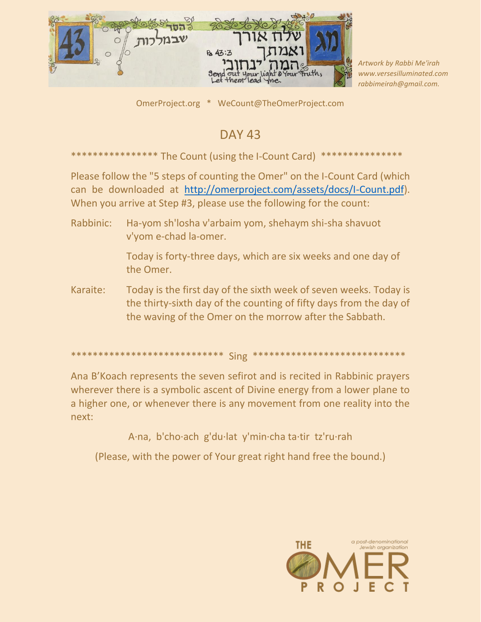

Artwork by Rabbi Me'irah www.versesilluminated.com rabbimeirah@qmail.com.

OmerProject.org \* WeCount@TheOmerProject.com

## **DAY 43**

\*\*\*\*\*\*\*\*\*\*\*\*\*\*\*\* The Count (using the I-Count Card) \*\*\*\*\*\*\*\*\*\*\*\*\*\*\*

Please follow the "5 steps of counting the Omer" on the I-Count Card (which can be downloaded at http://omerproject.com/assets/docs/I-Count.pdf). When you arrive at Step #3, please use the following for the count:

Rabbinic: Ha-yom sh'losha v'arbaim yom, shehaym shi-sha shavuot v'vom e-chad la-omer.

> Today is forty-three days, which are six weeks and one day of the Omer.

Today is the first day of the sixth week of seven weeks. Today is Karaite: the thirty-sixth day of the counting of fifty days from the day of the waving of the Omer on the morrow after the Sabbath.

## \*\*\*\*\*\*\*\*\*\*\* Sing \*\*\*\*\*\*\*\*\*\*\*\*\*\*\*\*\*\*\*\*\*\*\*\*\*\*\*\*\*

Ana B'Koach represents the seven sefirot and is recited in Rabbinic prayers wherever there is a symbolic ascent of Divine energy from a lower plane to a higher one, or whenever there is any movement from one reality into the next:

A·na, b'cho·ach g'du·lat y'min·cha ta·tir tz'ru·rah

(Please, with the power of Your great right hand free the bound.)

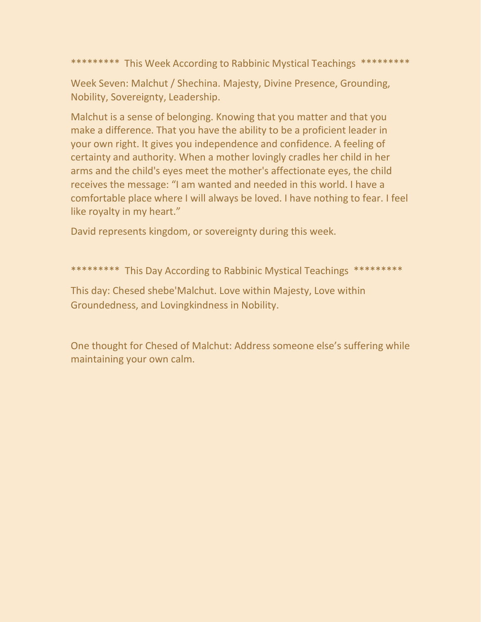\*\*\*\*\*\*\*\*\* This Week According to Rabbinic Mystical Teachings \*\*\*\*\*\*\*\*\*

Week Seven: Malchut / Shechina. Majesty, Divine Presence, Grounding, Nobility, Sovereignty, Leadership.

Malchut is a sense of belonging. Knowing that you matter and that you make a difference. That you have the ability to be a proficient leader in your own right. It gives you independence and confidence. A feeling of certainty and authority. When a mother lovingly cradles her child in her arms and the child's eyes meet the mother's affectionate eyes, the child receives the message: "I am wanted and needed in this world. I have a comfortable place where I will always be loved. I have nothing to fear. I feel like royalty in my heart."

David represents kingdom, or sovereignty during this week.

\*\*\*\*\*\*\*\*\* This Day According to Rabbinic Mystical Teachings \*\*\*\*\*\*\*\*\*

This day: Chesed shebe'Malchut. Love within Majesty, Love within Groundedness, and Lovingkindness in Nobility.

One thought for Chesed of Malchut: Address someone else's suffering while maintaining your own calm.